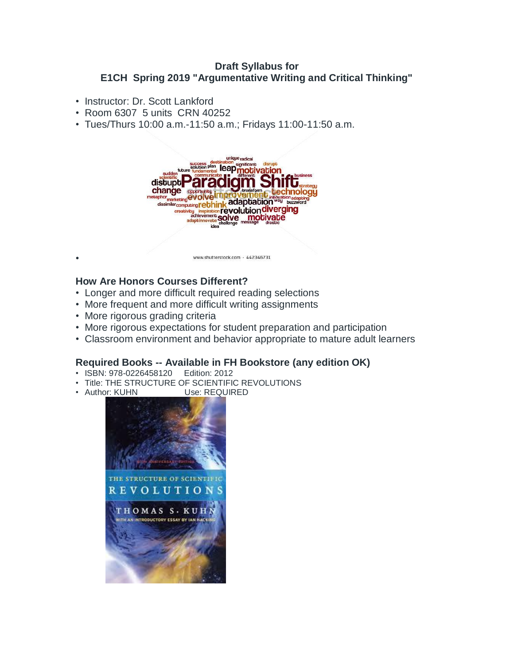#### **Draft Syllabus for E1CH Spring 2019 "Argumentative Writing and Critical Thinking"**

- Instructor: Dr. Scott Lankford
- Room 6307 5 units CRN 40252
- Tues/Thurs 10:00 a.m.-11:50 a.m.; Fridays 11:00-11:50 a.m.



#### **How Are Honors Courses Different?**

- Longer and more difficult required reading selections
- More frequent and more difficult writing assignments
- More rigorous grading criteria

•

- More rigorous expectations for student preparation and participation
- Classroom environment and behavior appropriate to mature adult learners

## **Required Books -- Available in FH Bookstore (any edition OK)**

- ISBN: 978-0226458120 Edition: 2012
- Title: THE STRUCTURE OF SCIENTIFIC REVOLUTIONS
- Author: KUHN Use: REQUIRED

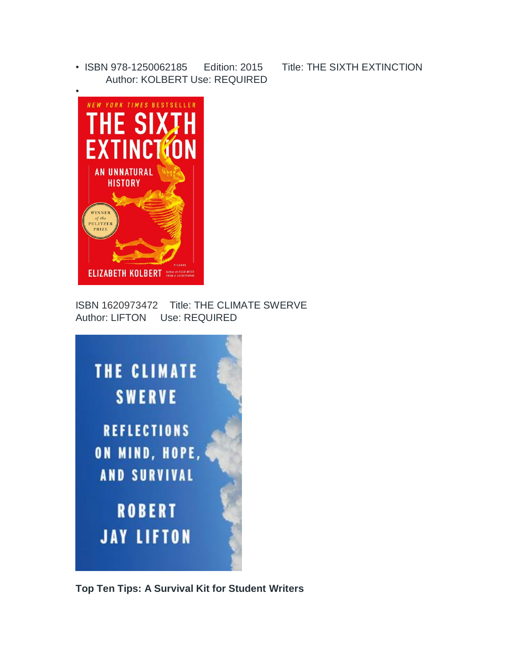• ISBN 978-1250062185 Edition: 2015 Title: THE SIXTH EXTINCTION Author: KOLBERT Use: REQUIRED



ISBN 1620973472 Title: THE CLIMATE SWERVE Author: LIFTON Use: REQUIRED



**Top Ten Tips: A Survival Kit for Student Writers**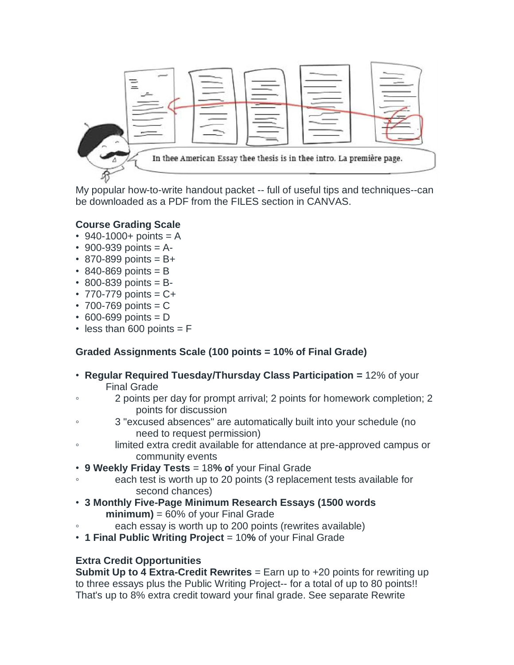

My popular how-to-write handout packet -- full of useful tips and techniques--can be downloaded as a PDF from the FILES section in CANVAS.

## **Course Grading Scale**

- 940-1000+ points =  $A$
- 900-939 points  $= A -$
- $870 899$  points = B+
- $\cdot$  840-869 points = B
- $\cdot$  800-839 points = B-
- 770-779 points  $= C +$
- $\cdot$  700-769 points = C
- $\cdot$  600-699 points = D
- $\cdot$  less than 600 points = F

# **Graded Assignments Scale (100 points = 10% of Final Grade)**

- **Regular Required Tuesday/Thursday Class Participation =** 12% of your Final Grade
- 2 points per day for prompt arrival; 2 points for homework completion; 2 points for discussion
- 3 "excused absences" are automatically built into your schedule (no need to request permission)
- limited extra credit available for attendance at pre-approved campus or community events
- **9 Weekly Friday Tests** = 18**% o**f your Final Grade
- each test is worth up to 20 points (3 replacement tests available for second chances)
- **3 Monthly Five-Page Minimum Research Essays (1500 words minimum)** = 60% of your Final Grade
- each essay is worth up to 200 points (rewrites available)
- **1 Final Public Writing Project** = 10**%** of your Final Grade

#### **Extra Credit Opportunities**

**Submit Up to 4 Extra-Credit Rewrites** = Earn up to +20 points for rewriting up to three essays plus the Public Writing Project-- for a total of up to 80 points!! That's up to 8% extra credit toward your final grade. See separate Rewrite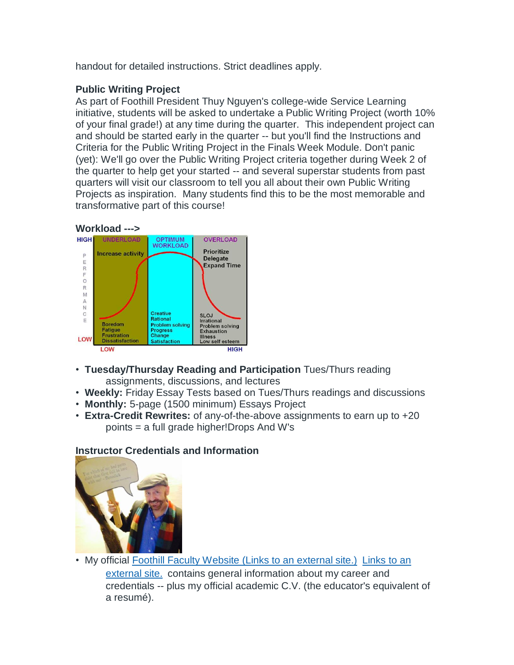handout for detailed instructions. Strict deadlines apply.

# **Public Writing Project**

As part of Foothill President Thuy Nguyen's college-wide Service Learning initiative, students will be asked to undertake a Public Writing Project (worth 10% of your final grade!) at any time during the quarter. This independent project can and should be started early in the quarter -- but you'll find the Instructions and Criteria for the Public Writing Project in the Finals Week Module. Don't panic (yet): We'll go over the Public Writing Project criteria together during Week 2 of the quarter to help get your started -- and several superstar students from past quarters will visit our classroom to tell you all about their own Public Writing Projects as inspiration. Many students find this to be the most memorable and transformative part of this course!



- **Tuesday/Thursday Reading and Participation** Tues/Thurs reading assignments, discussions, and lectures
- **Weekly:** Friday Essay Tests based on Tues/Thurs readings and discussions
- **Monthly:** 5-page (1500 minimum) Essays Project
- **Extra-Credit Rewrites:** of any-of-the-above assignments to earn up to +20 points = a full grade higher!Drops And W's

# **Instructor Credentials and Information**



• My official Foothill Faculty Website [\(Links to an external site.\)](https://foothill.edu/directory/directory.html?s=1&rec_id=460) Links to an [external site.](https://foothill.edu/directory/directory.html?s=1&rec_id=460) contains general information about my career and credentials -- plus my official academic C.V. (the educator's equivalent of a resumé).